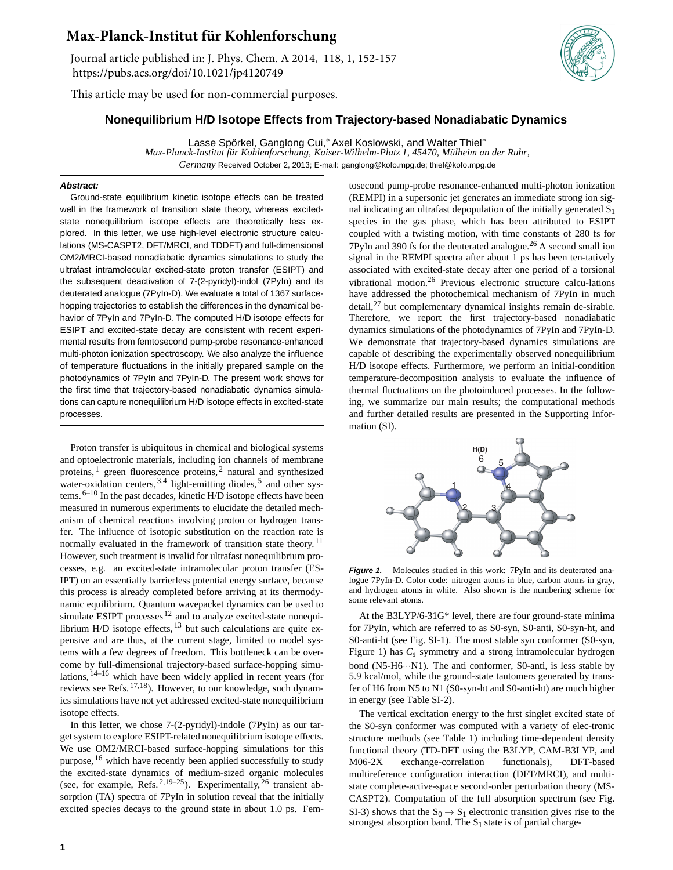## **Max-Planck-Institut für Kohlenforschung**

Journal article published in: J. Phys. Chem. A 2014, 118, 1, 152-157 https://pubs.acs.org/doi/10.1021/jp4120749

This article may be used for non-commercial purposes.

## **Nonequilibrium H/D Isotope Effects from Trajectory-based Nonadiabatic Dynamics**

Lasse Spörkel, Ganglong Cui,<sup>∗</sup> Axel Koslowski, and Walter Thiel<sup>∗</sup> *Max-Planck-Institut für Kohlenforschung, Kaiser-Wilhelm-Platz 1, 45470, Mülheim an der Ruhr, Germany* Received October 2, 2013; E-mail: ganglong@kofo.mpg.de; thiel@kofo.mpg.de

## **Abstract:**

Ground-state equilibrium kinetic isotope effects can be treated well in the framework of transition state theory, whereas excitedstate nonequilibrium isotope effects are theoretically less explored. In this letter, we use high-level electronic structure calculations (MS-CASPT2, DFT/MRCI, and TDDFT) and full-dimensional OM2/MRCI-based nonadiabatic dynamics simulations to study the ultrafast intramolecular excited-state proton transfer (ESIPT) and the subsequent deactivation of 7-(2-pyridyl)-indol (7PyIn) and its deuterated analogue (7PyIn-D). We evaluate a total of 1367 surfacehopping trajectories to establish the differences in the dynamical behavior of 7PyIn and 7PyIn-D. The computed H/D isotope effects for ESIPT and excited-state decay are consistent with recent experimental results from femtosecond pump-probe resonance-enhanced multi-photon ionization spectroscopy. We also analyze the influence of temperature fluctuations in the initially prepared sample on the photodynamics of 7PyIn and 7PyIn-D. The present work shows for the first time that trajectory-based nonadiabatic dynamics simulations can capture nonequilibrium H/D isotope effects in excited-state processes.

Proton transfer is ubiquitous in chemical and biological systems and optoelectronic materials, including ion channels of membrane proteins, <sup>1</sup> green fluorescence proteins, <sup>2</sup> natural and synthesized water-oxidation centers,  $3,4$  light-emitting diodes,  $5$  and other systems.  $6-10$  In the past decades, kinetic H/D isotope effects have been measured in numerous experiments to elucidate the detailed mechanism of chemical reactions involving proton or hydrogen transfer. The influence of isotopic substitution on the reaction rate is normally evaluated in the framework of transition state theory.<sup>11</sup> However, such treatment is invalid for ultrafast nonequilibrium processes, e.g. an excited-state intramolecular proton transfer (ES-IPT) on an essentially barrierless potential energy surface, because this process is already completed before arriving at its thermodynamic equilibrium. Quantum wavepacket dynamics can be used to simulate ESIPT processes<sup>12</sup> and to analyze excited-state nonequilibrium H/D isotope effects, <sup>13</sup> but such calculations are quite expensive and are thus, at the current stage, limited to model systems with a few degrees of freedom. This bottleneck can be overcome by full-dimensional trajectory-based surface-hopping simulations,  $14-16$  which have been widely applied in recent years (for reviews see Refs. 17,18). However, to our knowledge, such dynamics simulations have not yet addressed excited-state nonequilibrium isotope effects.

In this letter, we chose 7-(2-pyridyl)-indole (7PyIn) as our target system to explore ESIPT-related nonequilibrium isotope effects. We use OM2/MRCI-based surface-hopping simulations for this purpose, <sup>16</sup> which have recently been applied successfully to study the excited-state dynamics of medium-sized organic molecules (see, for example, Refs.  $2,19-25$ ). Experimentally,  $26$  transient absorption (TA) spectra of 7PyIn in solution reveal that the initially excited species decays to the ground state in about 1.0 ps. Fem-

tosecond pump-probe resonance-enhanced multi-photon ionization (REMPI) in a supersonic jet generates an immediate strong ion signal indicating an ultrafast depopulation of the initially generated  $S_1$ species in the gas phase, which has been attributed to ESIPT coupled with a twisting motion, with time constants of 280 fs for 7PyIn and 390 fs for the deuterated analogue.<sup>26</sup> A second small ion signal in the REMPI spectra after about 1 ps has been ten-tatively associated with excited-state decay after one period of a torsional vibrational motion.<sup>26</sup> Previous electronic structure calcu-lations have addressed the photochemical mechanism of 7PyIn in much detail,<sup>27</sup> but complementary dynamical insights remain de-sirable. Therefore, we report the first trajectory-based nonadiabatic dynamics simulations of the photodynamics of 7PyIn and 7PyIn-D. We demonstrate that trajectory-based dynamics simulations are capable of describing the experimentally observed nonequilibrium H/D isotope effects. Furthermore, we perform an initial-condition temperature-decomposition analysis to evaluate the influence of thermal fluctuations on the photoinduced processes. In the following, we summarize our main results; the computational methods and further detailed results are presented in the Supporting Information (SI).



**Figure 1.** Molecules studied in this work: 7PyIn and its deuterated analogue 7PyIn-D. Color code: nitrogen atoms in blue, carbon atoms in gray, and hydrogen atoms in white. Also shown is the numbering scheme for some relevant atoms.

At the B3LYP/6-31G\* level, there are four ground-state minima for 7PyIn, which are referred to as S0-syn, S0-anti, S0-syn-ht, and S0-anti-ht (see Fig. SI-1). The most stable syn conformer (S0-syn, Figure 1) has  $C_s$  symmetry and a strong intramolecular hydrogen bond (N5-H6···N1). The anti conformer, S0-anti, is less stable by 5.9 kcal/mol, while the ground-state tautomers generated by transfer of H6 from N5 to N1 (S0-syn-ht and S0-anti-ht) are much higher in energy (see Table SI-2).

The vertical excitation energy to the first singlet excited state of the S0-syn conformer was computed with a variety of elec-tronic structure methods (see Table 1) including time-dependent density functional theory (TD-DFT using the B3LYP, CAM-B3LYP, and M06-2X exchange-correlation functionals), DFT-based multireference configuration interaction (DFT/MRCI), and multistate complete-active-space second-order perturbation theory (MS-CASPT2). Computation of the full absorption spectrum (see Fig. SI-3) shows that the  $S_0 \rightarrow S_1$  electronic transition gives rise to the strongest absorption band. The  $S_1$  state is of partial charge-

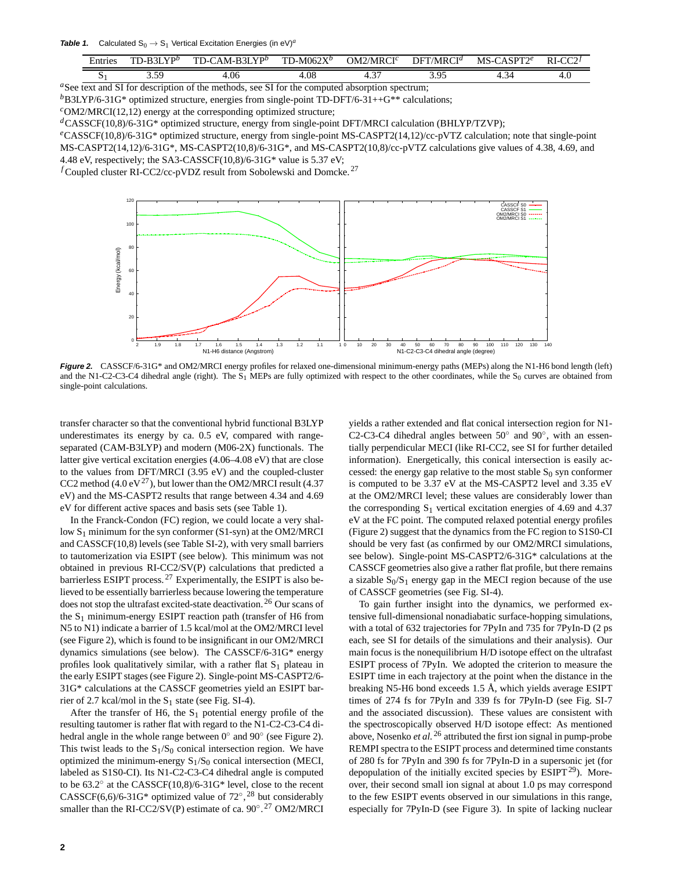**Table 1.** Calculated  $S_0 \rightarrow S_1$  Vertical Excitation Energies (in eV)<sup>a</sup>

| -<br>entries      | $D 2I V D^b$<br>$\sim$<br>- 1 - 1 | $\triangle$ M-R3I YP <sup>b</sup><br>TD-0 | $1D-M062X^b$<br>$\blacksquare$ | OM2/MRCI <sup>c</sup> | DFT/N<br>/MRCI $^d$ | $\Omega$ $\Gamma$ <sup>o</sup><br>MS<br>$-1$ | $RI-C$<br>$\sim$ |
|-------------------|-----------------------------------|-------------------------------------------|--------------------------------|-----------------------|---------------------|----------------------------------------------|------------------|
| P                 | 50<br>ن. ب                        | 1.06                                      | 4.08                           | $\sim$<br>            | 2 05<br>ر. ر.       | $\overline{\phantom{0}}$<br>∼<br>            | т. о             |
| $\mathbf{C}$<br>. |                                   |                                           | $\mathbf{C}$                   |                       |                     |                                              |                  |

<sup>a</sup>See text and SI for description of the methods, see SI for the computed absorption spectrum;  $b$ B3LYP/6-31G\* optimized structure, energies from single-point TD-DFT/6-31++G\*\* calculations;

 $c$ OM2/MRCI(12,12) energy at the corresponding optimized structure;

*<sup>d</sup>*CASSCF(10,8)/6-31G\* optimized structure, energy from single-point DFT/MRCI calculation (BHLYP/TZVP);

*<sup>e</sup>*CASSCF(10,8)/6-31G\* optimized structure, energy from single-point MS-CASPT2(14,12)/cc-pVTZ calculation; note that single-point MS-CASPT2(14,12)/6-31G\*, MS-CASPT2(10,8)/6-31G\*, and MS-CASPT2(10,8)/cc-pVTZ calculations give values of 4.38, 4.69, and 4.48 eV, respectively; the SA3-CASSCF(10,8)/6-31G\* value is 5.37 eV;

*<sup>f</sup>*Coupled cluster RI-CC2/cc-pVDZ result from Sobolewski and Domcke. <sup>27</sup>



**Figure 2.** CASSCF/6-31G\* and OM2/MRCI energy profiles for relaxed one-dimensional minimum-energy paths (MEPs) along the N1-H6 bond length (left) and the N1-C2-C3-C4 dihedral angle (right). The S<sub>1</sub> MEPs are fully optimized with respect to the other coordinates, while the S<sub>0</sub> curves are obtained from single-point calculations.

transfer character so that the conventional hybrid functional B3LYP underestimates its energy by ca. 0.5 eV, compared with rangeseparated (CAM-B3LYP) and modern (M06-2X) functionals. The latter give vertical excitation energies (4.06–4.08 eV) that are close to the values from DFT/MRCI (3.95 eV) and the coupled-cluster CC2 method (4.0 eV<sup>27</sup>), but lower than the OM2/MRCI result (4.37 eV) and the MS-CASPT2 results that range between 4.34 and 4.69 eV for different active spaces and basis sets (see Table 1).

In the Franck-Condon (FC) region, we could locate a very shallow  $S_1$  minimum for the syn conformer (S1-syn) at the OM2/MRCI and CASSCF(10,8) levels (see Table SI-2), with very small barriers to tautomerization via ESIPT (see below). This minimum was not obtained in previous RI-CC2/SV(P) calculations that predicted a barrierless ESIPT process. <sup>27</sup> Experimentally, the ESIPT is also believed to be essentially barrierless because lowering the temperature does not stop the ultrafast excited-state deactivation.<sup>26</sup> Our scans of the  $S_1$  minimum-energy ESIPT reaction path (transfer of H6 from N5 to N1) indicate a barrier of 1.5 kcal/mol at the OM2/MRCI level (see Figure 2), which is found to be insignificant in our OM2/MRCI dynamics simulations (see below). The CASSCF/6-31G\* energy profiles look qualitatively similar, with a rather flat  $S_1$  plateau in the early ESIPT stages (see Figure 2). Single-point MS-CASPT2/6- 31G\* calculations at the CASSCF geometries yield an ESIPT barrier of 2.7 kcal/mol in the  $S_1$  state (see Fig. SI-4).

After the transfer of H6, the  $S_1$  potential energy profile of the resulting tautomer is rather flat with regard to the N1-C2-C3-C4 dihedral angle in the whole range between  $0^{\circ}$  and  $90^{\circ}$  (see Figure 2). This twist leads to the  $S_1/S_0$  conical intersection region. We have optimized the minimum-energy  $S_1/S_0$  conical intersection (MECI, labeled as S1S0-CI). Its N1-C2-C3-C4 dihedral angle is computed to be 63.2◦ at the CASSCF(10,8)/6-31G\* level, close to the recent CASSCF(6,6)/6-31G\* optimized value of  $72^{\circ}$ ,  $^{28}$  but considerably smaller than the RI-CC2/SV(P) estimate of ca.  $90^\circ$ .<sup>27</sup> OM2/MRCI

yields a rather extended and flat conical intersection region for N1- .<br>C2-C3-C4 dihedral angles between 50° and 90°, with an essentially perpendicular MECI (like RI-CC2, see SI for further detailed information). Energetically, this conical intersection is easily accessed: the energy gap relative to the most stable  $S_0$  syn conformer is computed to be 3.37 eV at the MS-CASPT2 level and 3.35 eV at the OM2/MRCI level; these values are considerably lower than the corresponding  $S_1$  vertical excitation energies of 4.69 and 4.37 eV at the FC point. The computed relaxed potential energy profiles (Figure 2) suggest that the dynamics from the FC region to S1S0-CI should be very fast (as confirmed by our OM2/MRCI simulations, see below). Single-point MS-CASPT2/6-31G\* calculations at the CASSCF geometries also give a rather flat profile, but there remains a sizable  $S_0/S_1$  energy gap in the MECI region because of the use of CASSCF geometries (see Fig. SI-4).

To gain further insight into the dynamics, we performed extensive full-dimensional nonadiabatic surface-hopping simulations, with a total of 632 trajectories for 7PyIn and 735 for 7PyIn-D (2 ps each, see SI for details of the simulations and their analysis). Our main focus is the nonequilibrium H/D isotope effect on the ultrafast ESIPT process of 7PyIn. We adopted the criterion to measure the ESIPT time in each trajectory at the point when the distance in the breaking N5-H6 bond exceeds 1.5 Å, which yields average ESIPT times of 274 fs for 7PyIn and 339 fs for 7PyIn-D (see Fig. SI-7 and the associated discussion). These values are consistent with the spectroscopically observed H/D isotope effect: As mentioned above, Nosenko *et al.* <sup>26</sup> attributed the first ion signal in pump-probe REMPI spectra to the ESIPT process and determined time constants of 280 fs for 7PyIn and 390 fs for 7PyIn-D in a supersonic jet (for depopulation of the initially excited species by  $ESIPT<sup>29</sup>$ ). Moreover, their second small ion signal at about 1.0 ps may correspond to the few ESIPT events observed in our simulations in this range, especially for 7PyIn-D (see Figure 3). In spite of lacking nuclear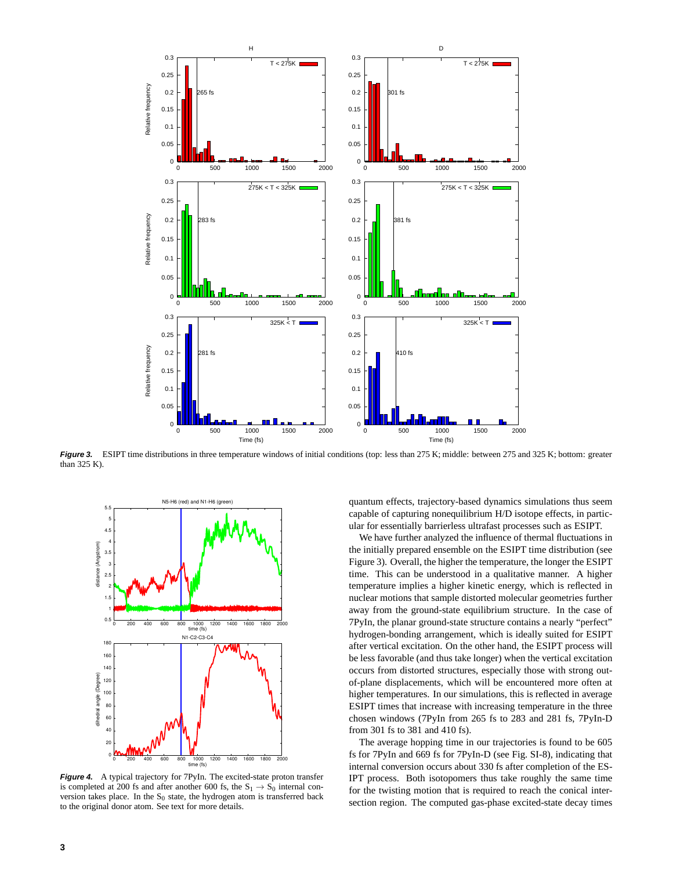

Figure 3. ESIPT time distributions in three temperature windows of initial conditions (top: less than 275 K; middle: between 275 and 325 K; bottom: greater than 325 K).



**Figure 4.** A typical trajectory for 7PyIn. The excited-state proton transfer is completed at 200 fs and after another 600 fs, the  $S_1 \rightarrow S_0$  internal conversion takes place. In the  $S_0$  state, the hydrogen atom is transferred back to the original donor atom. See text for more details.

quantum effects, trajectory-based dynamics simulations thus seem capable of capturing nonequilibrium H/D isotope effects, in particular for essentially barrierless ultrafast processes such as ESIPT.

We have further analyzed the influence of thermal fluctuations in the initially prepared ensemble on the ESIPT time distribution (see Figure 3). Overall, the higher the temperature, the longer the ESIPT time. This can be understood in a qualitative manner. A higher temperature implies a higher kinetic energy, which is reflected in nuclear motions that sample distorted molecular geometries further away from the ground-state equilibrium structure. In the case of 7PyIn, the planar ground-state structure contains a nearly "perfect" hydrogen-bonding arrangement, which is ideally suited for ESIPT after vertical excitation. On the other hand, the ESIPT process will be less favorable (and thus take longer) when the vertical excitation occurs from distorted structures, especially those with strong outof-plane displacements, which will be encountered more often at higher temperatures. In our simulations, this is reflected in average ESIPT times that increase with increasing temperature in the three chosen windows (7PyIn from 265 fs to 283 and 281 fs, 7PyIn-D from 301 fs to 381 and 410 fs).

The average hopping time in our trajectories is found to be 605 fs for 7PyIn and 669 fs for 7PyIn-D (see Fig. SI-8), indicating that internal conversion occurs about 330 fs after completion of the ES-IPT process. Both isotopomers thus take roughly the same time for the twisting motion that is required to reach the conical intersection region. The computed gas-phase excited-state decay times